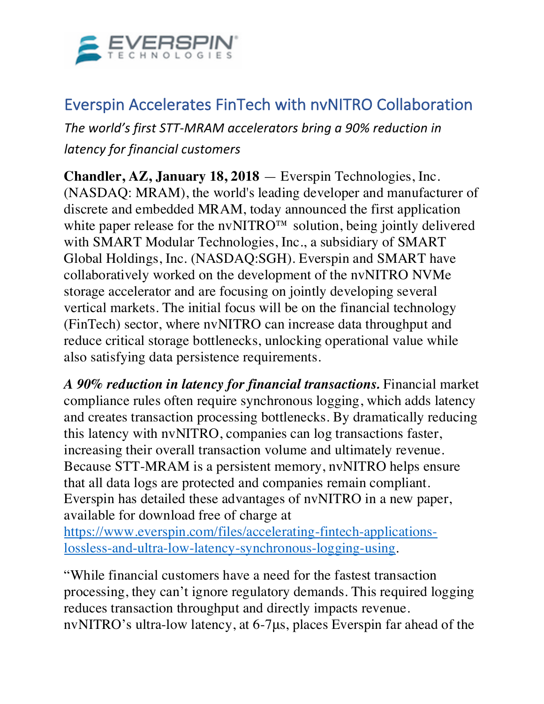

## Everspin Accelerates FinTech with nvNITRO Collaboration

*The world's first STT-MRAM accelerators bring a 90% reduction in latency for financial customers*

**Chandler, AZ, January 18, 2018** — Everspin Technologies, Inc. (NASDAQ: MRAM), the world's leading developer and manufacturer of discrete and embedded MRAM, today announced the first application white paper release for the nvNITRO™ solution, being jointly delivered with SMART Modular Technologies, Inc., a subsidiary of SMART Global Holdings, Inc. (NASDAQ:SGH). Everspin and SMART have collaboratively worked on the development of the nvNITRO NVMe storage accelerator and are focusing on jointly developing several vertical markets. The initial focus will be on the financial technology (FinTech) sector, where nvNITRO can increase data throughput and reduce critical storage bottlenecks, unlocking operational value while also satisfying data persistence requirements.

*A 90% reduction in latency for financial transactions.* Financial market compliance rules often require synchronous logging, which adds latency and creates transaction processing bottlenecks. By dramatically reducing this latency with nvNITRO, companies can log transactions faster, increasing their overall transaction volume and ultimately revenue. Because STT-MRAM is a persistent memory, nvNITRO helps ensure that all data logs are protected and companies remain compliant. Everspin has detailed these advantages of nvNITRO in a new paper, available for download free of charge at https://www.everspin.com/files/accelerating-fintech-applicationslossless-and-ultra-low-latency-synchronous-logging-using.

"While financial customers have a need for the fastest transaction processing, they can't ignore regulatory demands. This required logging reduces transaction throughput and directly impacts revenue. nvNITRO's ultra-low latency, at 6-7μs, places Everspin far ahead of the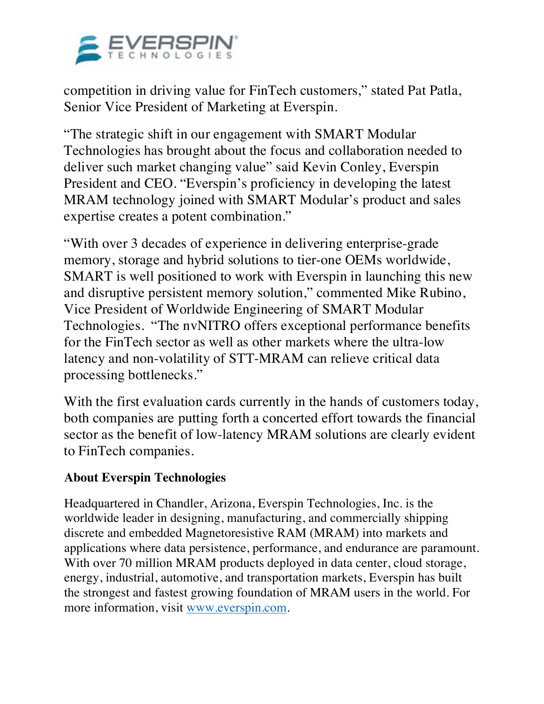

competition in driving value for FinTech customers," stated Pat Patla, Senior Vice President of Marketing at Everspin.

"The strategic shift in our engagement with SMART Modular Technologies has brought about the focus and collaboration needed to deliver such market changing value" said Kevin Conley, Everspin President and CEO. "Everspin's proficiency in developing the latest MRAM technology joined with SMART Modular's product and sales expertise creates a potent combination."

"With over 3 decades of experience in delivering enterprise-grade memory, storage and hybrid solutions to tier-one OEMs worldwide, SMART is well positioned to work with Everspin in launching this new and disruptive persistent memory solution," commented Mike Rubino, Vice President of Worldwide Engineering of SMART Modular Technologies. "The nvNITRO offers exceptional performance benefits for the FinTech sector as well as other markets where the ultra-low latency and non-volatility of STT-MRAM can relieve critical data processing bottlenecks."

With the first evaluation cards currently in the hands of customers today, both companies are putting forth a concerted effort towards the financial sector as the benefit of low-latency MRAM solutions are clearly evident to FinTech companies.

## **About Everspin Technologies**

Headquartered in Chandler, Arizona, Everspin Technologies, Inc. is the worldwide leader in designing, manufacturing, and commercially shipping discrete and embedded Magnetoresistive RAM (MRAM) into markets and applications where data persistence, performance, and endurance are paramount. With over 70 million MRAM products deployed in data center, cloud storage, energy, industrial, automotive, and transportation markets, Everspin has built the strongest and fastest growing foundation of MRAM users in the world. For more information, visit www.everspin.com.